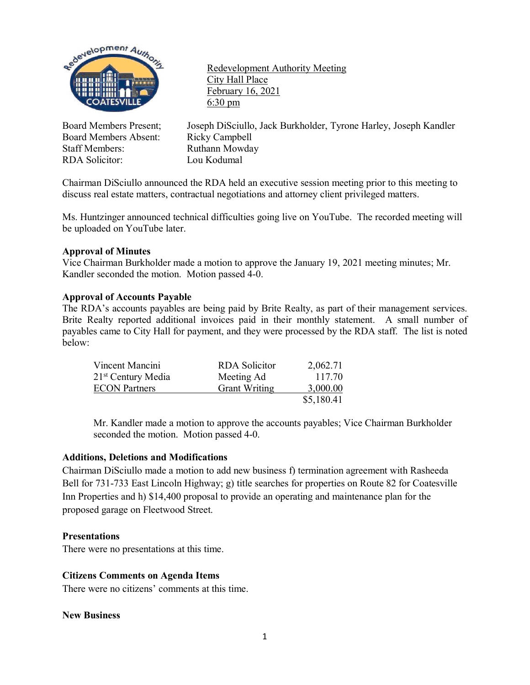

Board Members Absent: Ricky Campbell Staff Members: Ruthann Mowday<br>RDA Solicitor: Lou Kodumal RDA Solicitor:

Redevelopment Authority Meeting City Hall Place February 16, 2021 6:30 pm

Board Members Present; Joseph DiSciullo, Jack Burkholder, Tyrone Harley, Joseph Kandler

Chairman DiSciullo announced the RDA held an executive session meeting prior to this meeting to discuss real estate matters, contractual negotiations and attorney client privileged matters.

Ms. Huntzinger announced technical difficulties going live on YouTube. The recorded meeting will be uploaded on YouTube later.

### **Approval of Minutes**

Vice Chairman Burkholder made a motion to approve the January 19, 2021 meeting minutes; Mr. Kandler seconded the motion. Motion passed 4-0.

#### **Approval of Accounts Payable**

The RDA's accounts payables are being paid by Brite Realty, as part of their management services. Brite Realty reported additional invoices paid in their monthly statement. A small number of payables came to City Hall for payment, and they were processed by the RDA staff. The list is noted below:

| Vincent Mancini      | RDA Solicitor        | 2,062.71   |
|----------------------|----------------------|------------|
| $21st$ Century Media | Meeting Ad           | 117.70     |
| <b>ECON</b> Partners | <b>Grant Writing</b> | 3,000.00   |
|                      |                      | \$5,180.41 |

Mr. Kandler made a motion to approve the accounts payables; Vice Chairman Burkholder seconded the motion. Motion passed 4-0.

#### **Additions, Deletions and Modifications**

Chairman DiSciullo made a motion to add new business f) termination agreement with Rasheeda Bell for 731-733 East Lincoln Highway; g) title searches for properties on Route 82 for Coatesville Inn Properties and h) \$14,400 proposal to provide an operating and maintenance plan for the proposed garage on Fleetwood Street.

#### **Presentations**

There were no presentations at this time.

#### **Citizens Comments on Agenda Items**

There were no citizens' comments at this time.

#### **New Business**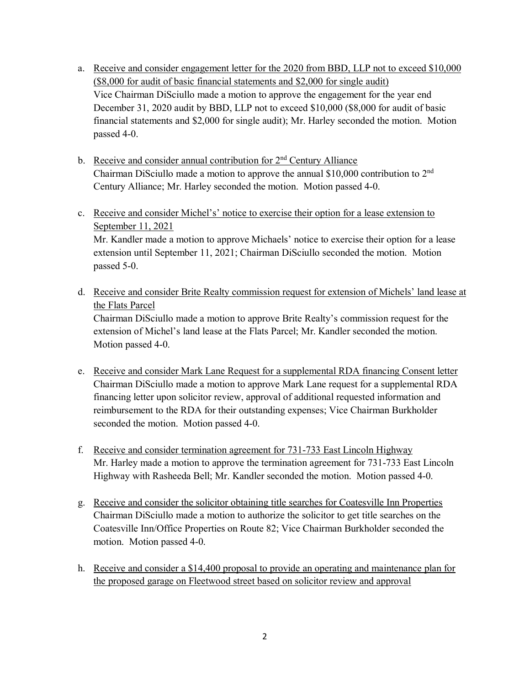- a. Receive and consider engagement letter for the 2020 from BBD, LLP not to exceed \$10,000 (\$8,000 for audit of basic financial statements and \$2,000 for single audit) Vice Chairman DiSciullo made a motion to approve the engagement for the year end December 31, 2020 audit by BBD, LLP not to exceed \$10,000 (\$8,000 for audit of basic financial statements and \$2,000 for single audit); Mr. Harley seconded the motion. Motion passed 4-0.
- b. Receive and consider annual contribution for  $2<sup>nd</sup>$  Century Alliance Chairman DiSciullo made a motion to approve the annual \$10,000 contribution to 2nd Century Alliance; Mr. Harley seconded the motion. Motion passed 4-0.
- c. Receive and consider Michel's' notice to exercise their option for a lease extension to September 11, 2021 Mr. Kandler made a motion to approve Michaels' notice to exercise their option for a lease extension until September 11, 2021; Chairman DiSciullo seconded the motion. Motion passed 5-0.
- d. Receive and consider Brite Realty commission request for extension of Michels' land lease at the Flats Parcel

Chairman DiSciullo made a motion to approve Brite Realty's commission request for the extension of Michel's land lease at the Flats Parcel; Mr. Kandler seconded the motion. Motion passed 4-0.

- e. Receive and consider Mark Lane Request for a supplemental RDA financing Consent letter Chairman DiSciullo made a motion to approve Mark Lane request for a supplemental RDA financing letter upon solicitor review, approval of additional requested information and reimbursement to the RDA for their outstanding expenses; Vice Chairman Burkholder seconded the motion. Motion passed 4-0.
- f. Receive and consider termination agreement for 731-733 East Lincoln Highway Mr. Harley made a motion to approve the termination agreement for 731-733 East Lincoln Highway with Rasheeda Bell; Mr. Kandler seconded the motion. Motion passed 4-0.
- g. Receive and consider the solicitor obtaining title searches for Coatesville Inn Properties Chairman DiSciullo made a motion to authorize the solicitor to get title searches on the Coatesville Inn/Office Properties on Route 82; Vice Chairman Burkholder seconded the motion. Motion passed 4-0.
- h. Receive and consider a \$14,400 proposal to provide an operating and maintenance plan for the proposed garage on Fleetwood street based on solicitor review and approval